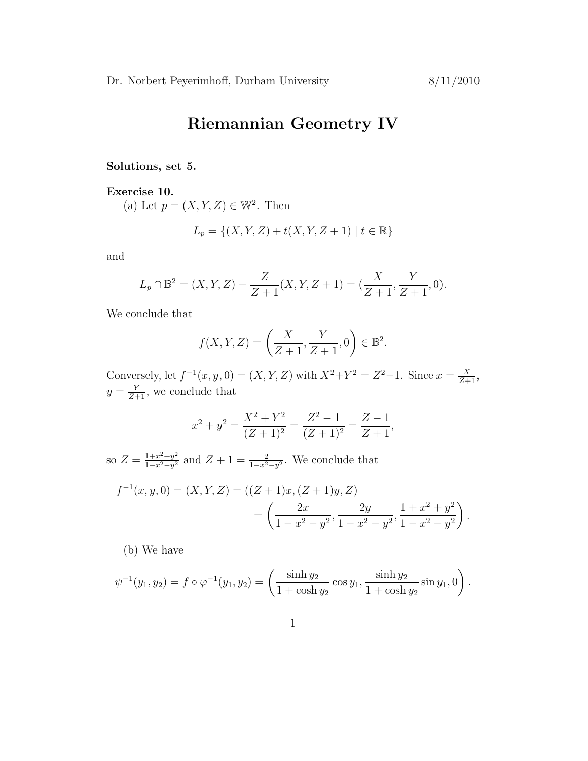## Riemannian Geometry IV

Solutions, set 5.

Exercise 10.

(a) Let  $p = (X, Y, Z) \in \mathbb{W}^2$ . Then

$$
L_p = \{(X, Y, Z) + t(X, Y, Z + 1) \mid t \in \mathbb{R}\}
$$

and

$$
L_p \cap \mathbb{B}^2 = (X, Y, Z) - \frac{Z}{Z+1}(X, Y, Z+1) = (\frac{X}{Z+1}, \frac{Y}{Z+1}, 0).
$$

We conclude that

$$
f(X, Y, Z) = \left(\frac{X}{Z+1}, \frac{Y}{Z+1}, 0\right) \in \mathbb{B}^2.
$$

Conversely, let  $f^{-1}(x, y, 0) = (X, Y, Z)$  with  $X^2 + Y^2 = Z^2 - 1$ . Since  $x = \frac{X}{Z+1}$ ,  $y = \frac{Y}{Z+1}$ , we conclude that

$$
x^{2} + y^{2} = \frac{X^{2} + Y^{2}}{(Z+1)^{2}} = \frac{Z^{2} - 1}{(Z+1)^{2}} = \frac{Z - 1}{Z + 1},
$$

so  $Z = \frac{1+x^2+y^2}{1-x^2-y^2}$  $\frac{1+x^2+y^2}{1-x^2-y^2}$  and  $Z+1=\frac{2}{1-x^2-y^2}$ . We conclude that

$$
f^{-1}(x, y, 0) = (X, Y, Z) = ((Z + 1)x, (Z + 1)y, Z)
$$
  
= 
$$
\left(\frac{2x}{1 - x^2 - y^2}, \frac{2y}{1 - x^2 - y^2}, \frac{1 + x^2 + y^2}{1 - x^2 - y^2}\right).
$$

(b) We have

$$
\psi^{-1}(y_1, y_2) = f \circ \varphi^{-1}(y_1, y_2) = \left(\frac{\sinh y_2}{1 + \cosh y_2} \cos y_1, \frac{\sinh y_2}{1 + \cosh y_2} \sin y_1, 0\right).
$$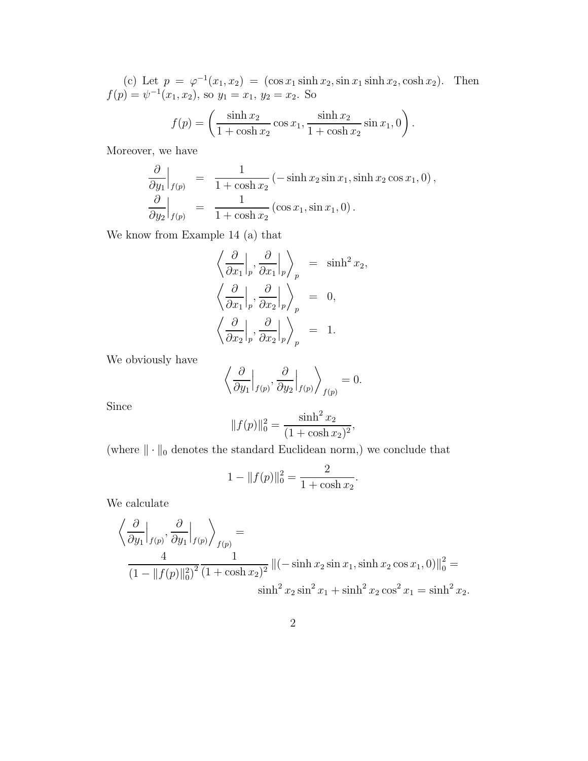(c) Let  $p = \varphi^{-1}(x_1, x_2) = (\cos x_1 \sinh x_2, \sin x_1 \sinh x_2, \cosh x_2)$ . Then  $f(p) = \psi^{-1}(x_1, x_2)$ , so  $y_1 = x_1, y_2 = x_2$ . So  $\sinh x_2$  $\setminus$ 

$$
f(p) = \left(\frac{\sinh x_2}{1 + \cosh x_2} \cos x_1, \frac{\sinh x_2}{1 + \cosh x_2} \sin x_1, 0\right).
$$

Moreover, we have

$$
\frac{\partial}{\partial y_1}\Big|_{f(p)} = \frac{1}{1 + \cosh x_2} \left(-\sinh x_2 \sin x_1, \sinh x_2 \cos x_1, 0\right),
$$
  

$$
\frac{\partial}{\partial y_2}\Big|_{f(p)} = \frac{1}{1 + \cosh x_2} \left(\cos x_1, \sin x_1, 0\right).
$$

We know from Example 14 (a) that

$$
\begin{aligned}\n\left\langle \frac{\partial}{\partial x_1} \Big|_p, \frac{\partial}{\partial x_1} \Big|_p \right\rangle_p &= \sinh^2 x_2, \\
\left\langle \frac{\partial}{\partial x_1} \Big|_p, \frac{\partial}{\partial x_2} \Big|_p \right\rangle_p &= 0, \\
\left\langle \frac{\partial}{\partial x_2} \Big|_p, \frac{\partial}{\partial x_2} \Big|_p \right\rangle_p &= 1.\n\end{aligned}
$$

We obviously have

$$
\left\langle \frac{\partial}{\partial y_1} \Big|_{f(p)}, \frac{\partial}{\partial y_2} \Big|_{f(p)} \right\rangle_{f(p)} = 0.
$$

Since

$$
||f(p)||_0^2 = \frac{\sinh^2 x_2}{(1 + \cosh x_2)^2},
$$

(where  $\|\cdot\|_0$  denotes the standard Euclidean norm,) we conclude that

$$
1 - ||f(p)||_0^2 = \frac{2}{1 + \cosh x_2}.
$$

We calculate

$$
\left\langle \frac{\partial}{\partial y_1} \Big|_{f(p)}, \frac{\partial}{\partial y_1} \Big|_{f(p)} \right\rangle_{f(p)} =
$$
  

$$
\frac{4}{(1 - \|f(p)\|_0^2)^2} \frac{1}{(1 + \cosh x_2)^2} \|(-\sinh x_2 \sin x_1, \sinh x_2 \cos x_1, 0)\|_0^2 =
$$
  

$$
\sinh^2 x_2 \sin^2 x_1 + \sinh^2 x_2 \cos^2 x_1 = \sinh^2 x_2.
$$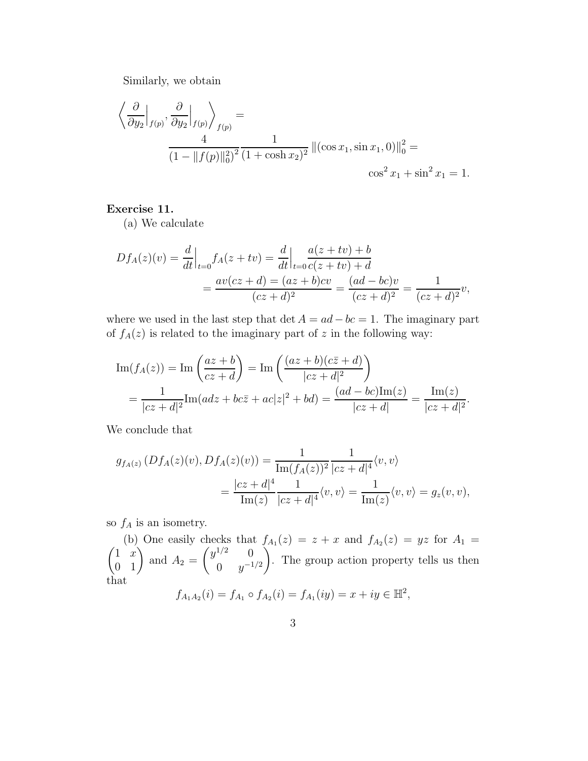Similarly, we obtain

$$
\left\langle \frac{\partial}{\partial y_2} \Big|_{f(p)}, \frac{\partial}{\partial y_2} \Big|_{f(p)} \right\rangle_{f(p)} = \frac{4}{(1 - \|f(p)\|_0^2)^2} \frac{1}{(1 + \cosh x_2)^2} \|(\cos x_1, \sin x_1, 0)\|_0^2 = \cos^2 x_1 + \sin^2 x_1 = 1.
$$

## Exercise 11.

(a) We calculate

$$
Df_A(z)(v) = \frac{d}{dt}\Big|_{t=0} f_A(z+tv) = \frac{d}{dt}\Big|_{t=0} \frac{a(z+tv) + b}{c(z+tv) + d}
$$
  
= 
$$
\frac{av(cz+d) = (az+b)cv}{(cz+d)^2} = \frac{(ad-bc)v}{(cz+d)^2} = \frac{1}{(cz+d)^2}v,
$$

where we used in the last step that det  $A = ad - bc = 1$ . The imaginary part of  $f_A(z)$  is related to the imaginary part of z in the following way:

$$
\text{Im}(f_A(z)) = \text{Im}\left(\frac{az+b}{cz+d}\right) = \text{Im}\left(\frac{(az+b)(c\bar{z}+d)}{|cz+d|^2}\right)
$$
  
= 
$$
\frac{1}{|cz+d|^2}\text{Im}(adz+bc\bar{z}+ac|z|^2+bd) = \frac{(ad-bc)\text{Im}(z)}{|cz+d|} = \frac{\text{Im}(z)}{|cz+d|^2}.
$$

We conclude that

$$
g_{f_A(z)}(Df_A(z)(v), Df_A(z)(v)) = \frac{1}{\text{Im}(f_A(z))^2} \frac{1}{|cz+d|^4} \langle v, v \rangle
$$
  
= 
$$
\frac{|cz+d|^4}{\text{Im}(z)} \frac{1}{|cz+d|^4} \langle v, v \rangle = \frac{1}{\text{Im}(z)} \langle v, v \rangle = g_z(v, v),
$$

so  $f_A$  is an isometry.

(b) One easily checks that  $f_{A_1}(z) = z + x$  and  $f_{A_2}(z) = yz$  for  $A_1 = z$  $\begin{pmatrix} 1 & x \\ 0 & 1 \end{pmatrix}$  and  $A_2 =$  $\int y^{1/2} = 0$ 0  $y^{-1/2}$  $\setminus$ . The group action property tells us then that  $\sigma$ 

$$
f_{A_1A_2}(i) = f_{A_1} \circ f_{A_2}(i) = f_{A_1}(iy) = x + iy \in \mathbb{H}^2,
$$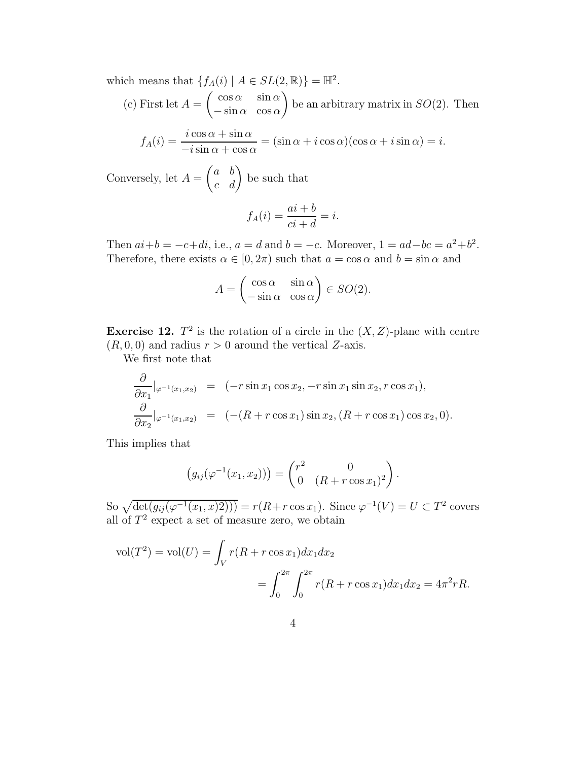which means that  $\{f_A(i) | A \in SL(2,\mathbb{R})\} = \mathbb{H}^2$ .

(c) First let 
$$
A = \begin{pmatrix} \cos \alpha & \sin \alpha \\ -\sin \alpha & \cos \alpha \end{pmatrix}
$$
 be an arbitrary matrix in  $SO(2)$ . Then

$$
f_A(i) = \frac{i \cos \alpha + \sin \alpha}{-i \sin \alpha + \cos \alpha} = (\sin \alpha + i \cos \alpha)(\cos \alpha + i \sin \alpha) = i.
$$

Conversely, let 
$$
A = \begin{pmatrix} a & b \\ c & d \end{pmatrix}
$$
 be such that

$$
f_A(i) = \frac{ai+b}{ci+d} = i.
$$

Then  $ai+b = -c+di$ , i.e.,  $a = d$  and  $b = -c$ . Moreover,  $1 = ad-bc = a^2+b^2$ . Therefore, there exists  $\alpha \in [0, 2\pi)$  such that  $a = \cos \alpha$  and  $b = \sin \alpha$  and

$$
A = \begin{pmatrix} \cos \alpha & \sin \alpha \\ -\sin \alpha & \cos \alpha \end{pmatrix} \in SO(2).
$$

**Exercise 12.**  $T^2$  is the rotation of a circle in the  $(X, Z)$ -plane with centre  $(R, 0, 0)$  and radius  $r > 0$  around the vertical Z-axis.

We first note that

$$
\frac{\partial}{\partial x_1}|_{\varphi^{-1}(x_1, x_2)} = (-r \sin x_1 \cos x_2, -r \sin x_1 \sin x_2, r \cos x_1),\n\frac{\partial}{\partial x_2}|_{\varphi^{-1}(x_1, x_2)} = (- (R + r \cos x_1) \sin x_2, (R + r \cos x_1) \cos x_2, 0).
$$

This implies that

$$
(g_{ij}(\varphi^{-1}(x_1,x_2))) = \begin{pmatrix} r^2 & 0 \\ 0 & (R+r\cos x_1)^2 \end{pmatrix}.
$$

So  $\sqrt{\det(g_{ij}(\varphi^{-1}(x_1, x)2))} = r(R + r \cos x_1)$ . Since  $\varphi^{-1}(V) = U \subset T^2$  covers all of  $T^2$  expect a set of measure zero, we obtain

$$
\text{vol}(T^2) = \text{vol}(U) = \int_V r(R + r \cos x_1) dx_1 dx_2
$$
  
= 
$$
\int_0^{2\pi} \int_0^{2\pi} r(R + r \cos x_1) dx_1 dx_2 = 4\pi^2 rR.
$$